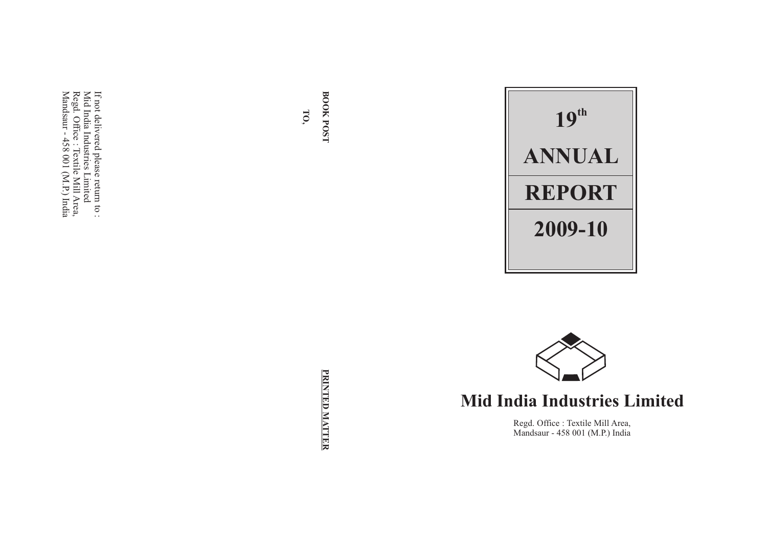$\Xi$ not delivered please return <u>ದ</u> Mid India Industries Limited Regd. Office : Textile Mill Area, Mandsaur - 458  $\Xi$  $(\mathrm{M}.\mathrm{P})$ India

> PRINTED MATTER **PRINTED MATTER**

**BOOK**

**TO,**

**POST**





# **Mid India Industries Limited**

Regd. Office : Textile Mill Area, Mandsaur - 458 001 (M.P.) India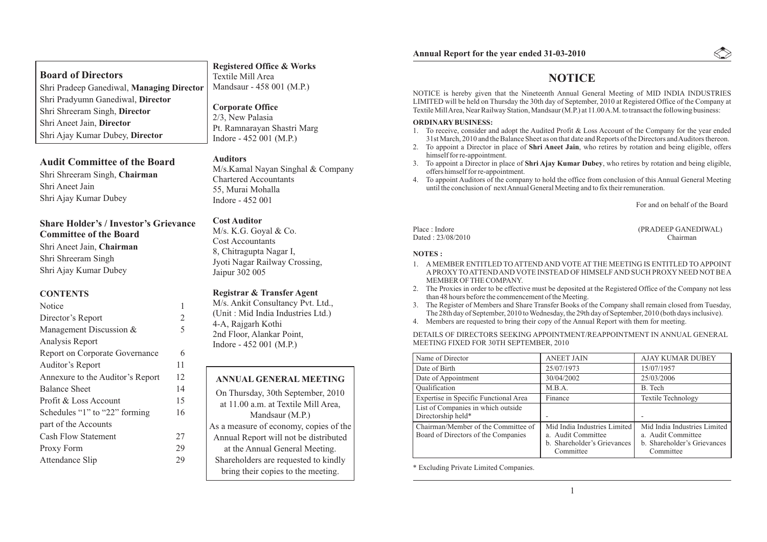|  |  |  |  |  | <b>Annual Report for the year ended 31-03-2010</b> |
|--|--|--|--|--|----------------------------------------------------|
|--|--|--|--|--|----------------------------------------------------|

## **Registered Office & Works**

Textile Mill Area Mandsaur - 458 001 (M.P.)

**Corporate Office** 2/3, New Palasia Pt. Ramnarayan Shastri Marg Indore - 452 001 (M.P.)

## **Audit Committee of the Board**

Shri Pradyumn Ganediwal, **Director**

Shri Shreeram Singh, **Director**

Shri Ajay Kumar Dubey, **Director**

Shri Aneet Jain, **Director**

Shri Pradeep Ganediwal, **Managing Director**

Shri Shreeram Singh, **Chairman** Shri Aneet Jain Shri Ajay Kumar Dubey

**Board of Directors**

#### **Share Holder's / Investor's Grievance Committee of the Board**

Shri Aneet Jain, **Chairman** Shri Shreeram Singh Shri Ajay Kumar Dubey

#### **CONTENTS**

| Notice                                |                |
|---------------------------------------|----------------|
| Director's Report                     | $\overline{2}$ |
| Management Discussion &               | 5              |
| Analysis Report                       |                |
| <b>Report on Corporate Governance</b> | 6              |
| Auditor's Report                      | 11             |
| Annexure to the Auditor's Report      | 12             |
| <b>Balance Sheet</b>                  | 14             |
| Profit & Loss Account                 | 15             |
| Schedules "1" to "22" forming         | 16             |
| part of the Accounts                  |                |
| <b>Cash Flow Statement</b>            | 27             |
| Proxy Form                            | 29             |
| Attendance Slip                       | 29             |

#### **Auditors**

M/s.Kamal Nayan Singhal & Company Chartered Accountants 55, Murai Mohalla Indore - 452 001

#### **Cost Auditor**

M/s. K.G. Goyal & Co. Cost Accountants 8, Chitragupta Nagar I, Jyoti Nagar Railway Crossing, Jaipur 302 005

#### **Registrar & Transfer Agent**

M/s. Ankit Consultancy Pvt. Ltd., (Unit : Mid India Industries Ltd.) 4-A, Rajgarh Kothi 2nd Floor, Alankar Point, Indore - 452 001 (M.P.)

#### **ANNUAL GENERAL MEETING**

On Thursday, 30th September, 2010 at 11.00 a.m. at Textile Mill Area, Mandsaur (M.P.) As a measure of economy, copies of the Annual Report will not be distributed at the Annual General Meeting. Shareholders are requested to kindly bring their copies to the meeting.

## **NOTICE**

NOTICE is hereby given that the Nineteenth Annual General Meeting of MID INDIA INDUSTRIES LIMITED will be held on Thursday the 30th day of September, 2010 at Registered Office of the Company at Textile Mill Area, Near Railway Station, Mandsaur (M.P.) at 11.00 A.M. to transact the following business:

#### **ORDINARYBUSINESS:**

- 1. To receive, consider and adopt the Audited Profit & Loss Account of the Company for the year ended 31st March, 2010 and the Balance Sheet as on that date and Reports of the Directors and Auditors thereon.
- 2. To appoint a Director in place of **Shri Aneet Jain**, who retires by rotation and being eligible, offers himself for re-appointment.
- 3. To appoint a Director in place of **Shri Ajay Kumar Dubey**, who retires by rotation and being eligible, offers himself for re-appointment.
- 4. To appoint Auditors of the company to hold the office from conclusion of this Annual General Meeting until the conclusion of next Annual General Meeting and to fix their remuneration.

For and on behalf of the Board

Place : Indore (PRADEEP GANEDIWAL) Dated : 23/08/2010 Chairman

**NOTES :**

- 1. AMEMBER ENTITLED TO ATTEND AND VOTE AT THE MEETING IS ENTITLED TO APPOINT APROXYTO ATTEND AND VOTE INSTEAD OF HIMSELF AND SUCH PROXYNEED NOTBE A MEMBER OF THE COMPANY.
- 2. The Proxies in order to be effective must be deposited at the Registered Office of the Company not less than 48 hours before the commencement of the Meeting.
- 3. The Register of Members and Share Transfer Books of the Company shall remain closed from Tuesday, The 28th day of September, 2010 to Wednesday, the 29th day of September, 2010 (both days inclusive).
- 4. Members are requested to bring their copy of the Annual Report with them for meeting.

DETAILS OF DIRECTORS SEEKING APPOINTMENT/REAPPOINTMENT IN ANNUAL GENERAL MEETING FIXED FOR 30TH SEPTEMBER, 2010

| Name of Director                                                           | <b>ANEET JAIN</b>                                                                              | <b>AJAY KUMAR DUBEY</b>                                                                        |
|----------------------------------------------------------------------------|------------------------------------------------------------------------------------------------|------------------------------------------------------------------------------------------------|
| Date of Birth                                                              | 25/07/1973                                                                                     | 15/07/1957                                                                                     |
| Date of Appointment                                                        | 30/04/2002                                                                                     | 25/03/2006                                                                                     |
| Qualification                                                              | M.B.A.                                                                                         | B. Tech                                                                                        |
| Expertise in Specific Functional Area                                      | Finance                                                                                        | <b>Textile Technology</b>                                                                      |
| List of Companies in which outside<br>Directorship held*                   |                                                                                                |                                                                                                |
| Chairman/Member of the Committee of<br>Board of Directors of the Companies | Mid India Industries Limited<br>a. Audit Committee<br>b. Shareholder's Grievances<br>Committee | Mid India Industries Limited<br>a. Audit Committee<br>b. Shareholder's Grievances<br>Committee |

\* Excluding Private Limited Companies.

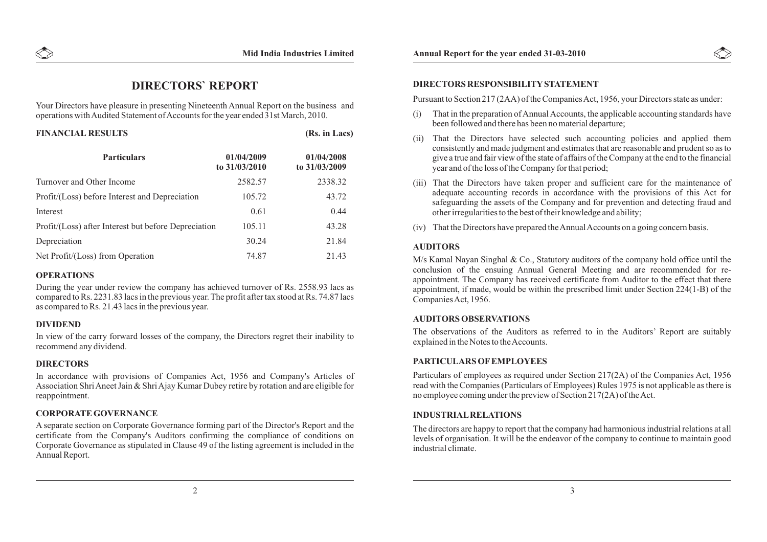## **DIRECTORS` REPORT**

Your Directors have pleasure in presenting Nineteenth Annual Report on the business and operations with Audited Statement of Accounts for the year ended 31st March, 2010.

| <b>FINANCIAL RESULTS</b>                             |                             | (Rs. in Lacs)               |  |
|------------------------------------------------------|-----------------------------|-----------------------------|--|
| <b>Particulars</b>                                   | 01/04/2009<br>to 31/03/2010 | 01/04/2008<br>to 31/03/2009 |  |
| Turnover and Other Income                            | 2582.57                     | 2338.32                     |  |
| Profit/(Loss) before Interest and Depreciation       | 105.72                      | 43.72                       |  |
| Interest                                             | 0.61                        | 0.44                        |  |
| Profit/(Loss) after Interest but before Depreciation | 105.11                      | 43.28                       |  |
| Depreciation                                         | 30.24                       | 21.84                       |  |
| Net Profit/(Loss) from Operation                     | 74.87                       | 21.43                       |  |

#### **OPERATIONS**

During the year under review the company has achieved turnover of Rs. 2558.93 lacs as compared to Rs. 2231.83 lacs in the previous year. The profit after tax stood at Rs. 74.87 lacs as compared to Rs. 21.43 lacs in the previous year.

#### **DIVIDEND**

In view of the carry forward losses of the company, the Directors regret their inability to recommend any dividend.

#### **DIRECTORS**

In accordance with provisions of Companies Act, 1956 and Company's Articles of Association Shri Aneet Jain & Shri Ajay Kumar Dubey retire by rotation and are eligible for reappointment.

## **CORPORATE GOVERNANCE**

A separate section on Corporate Governance forming part of the Director's Report and the certificate from the Company's Auditors confirming the compliance of conditions on Corporate Governance as stipulated in Clause 49 of the listing agreement is included in the Annual Report.

#### **DIRECTORS RESPONSIBILITYSTATEMENT**

Pursuant to Section 217 (2AA) of the Companies Act, 1956, your Directors state as under:

- (i) That in the preparation of Annual Accounts, the applicable accounting standards have been followed and there has been no material departure;
- (ii) That the Directors have selected such accounting policies and applied them consistently and made judgment and estimates that are reasonable and prudent so as to give a true and fair view of the state of affairs of the Company at the end to the financial year and of the loss of the Company for that period;
- (iii) That the Directors have taken proper and sufficient care for the maintenance of adequate accounting records in accordance with the provisions of this Act for safeguarding the assets of the Company and for prevention and detecting fraud and other irregularities to the best of their knowledge and ability;
- (iv) That the Directors have prepared the Annual Accounts on a going concern basis.

## **AUDITORS**

M/s Kamal Nayan Singhal & Co., Statutory auditors of the company hold office until the conclusion of the ensuing Annual General Meeting and are recommended for reappointment. The Company has received certificate from Auditor to the effect that there appointment, if made, would be within the prescribed limit under Section 224(1-B) of the Companies Act, 1956.

#### **AUDITORS OBSERVATIONS**

The observations of the Auditors as referred to in the Auditors' Report are suitably explained in the Notes to the Accounts.

#### **PARTICULARS OFEMPLOYEES**

Particulars of employees as required under Section 217(2A) of the Companies Act, 1956 read with the Companies (Particulars of Employees) Rules 1975 is not applicable as there is no employee coming under the preview of Section 217(2A) of the Act.

#### **INDUSTRIALRELATIONS**

The directors are happy to report that the company had harmonious industrial relations at all levels of organisation. It will be the endeavor of the company to continue to maintain good industrial climate.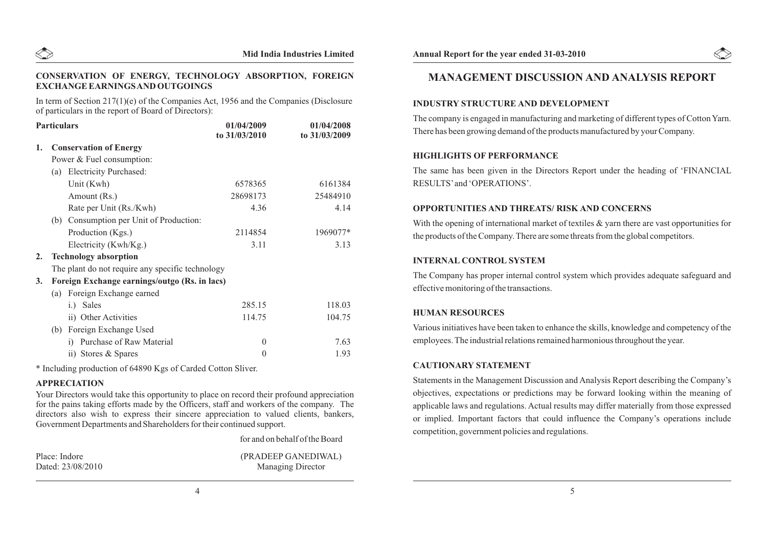

#### **CONSERVATION OF ENERGY, TECHNOLOGY ABSORPTION, FOREIGN EXCHANGE EARNINGS AND OUTGOINGS**

In term of Section 217(1)(e) of the Companies Act, 1956 and the Companies (Disclosure of particulars in the report of Board of Directors):

| <b>Particulars</b> |     |                                                  | 01/04/2009     | 01/04/2008    |
|--------------------|-----|--------------------------------------------------|----------------|---------------|
|                    |     |                                                  | to 31/03/2010  | to 31/03/2009 |
| 1.                 |     | <b>Conservation of Energy</b>                    |                |               |
|                    |     | Power & Fuel consumption:                        |                |               |
|                    |     | (a) Electricity Purchased:                       |                |               |
|                    |     | Unit (Kwh)                                       | 6578365        | 6161384       |
|                    |     | Amount (Rs.)                                     | 28698173       | 25484910      |
|                    |     | Rate per Unit (Rs./Kwh)                          | 4.36           | 4.14          |
|                    |     | (b) Consumption per Unit of Production:          |                |               |
|                    |     | Production (Kgs.)                                | 2114854        | 1969077*      |
|                    |     | Electricity (Kwh/Kg.)                            | 3.11           | 3.13          |
| 2.                 |     | <b>Technology absorption</b>                     |                |               |
|                    |     | The plant do not require any specific technology |                |               |
| 3.                 |     | Foreign Exchange earnings/outgo (Rs. in lacs)    |                |               |
|                    | (a) | Foreign Exchange earned                          |                |               |
|                    |     | Sales<br>i.)                                     | 285.15         | 118.03        |
|                    |     | ii) Other Activities                             | 114.75         | 104.75        |
|                    | (b) | Foreign Exchange Used                            |                |               |
|                    |     | Purchase of Raw Material<br>$\mathbf{i}$         | $\overline{0}$ | 7.63          |
|                    |     | ii) Stores & Spares                              | $\theta$       | 1.93          |
|                    |     |                                                  |                |               |

\* Including production of 64890 Kgs of Carded Cotton Sliver.

#### **APPRECIATION**

Your Directors would take this opportunity to place on record their profound appreciation for the pains taking efforts made by the Officers, staff and workers of the company. The directors also wish to express their sincere appreciation to valued clients, bankers, Government Departments and Shareholders for their continued support.

for and on behalf of the Board

Place: Indore (PRADEEP GANEDIWAL) Dated: 23/08/2010 Managing Director



## **MANAGEMENT DISCUSSION AND ANALYSIS REPORT**

#### **INDUSTRY STRUCTURE AND DEVELOPMENT**

The company is engaged in manufacturing and marketing of different types of Cotton Yarn. There has been growing demand of the products manufactured by your Company.

#### **HIGHLIGHTS OF PERFORMANCE**

The same has been given in the Directors Report under the heading of 'FINANCIAL RESULTS'and 'OPERATIONS'.

#### **OPPORTUNITIES AND THREATS/ RISK AND CONCERNS**

With the opening of international market of textiles  $\&$  yarn there are vast opportunities for the products of the Company. There are some threats from the global competitors.

#### **INTERNAL CONTROL SYSTEM**

The Company has proper internal control system which provides adequate safeguard and effective monitoring of the transactions.

## **HUMAN RESOURCES**

Various initiatives have been taken to enhance the skills, knowledge and competency of the employees. The industrial relations remained harmonious throughout the year.

#### **CAUTIONARY STATEMENT**

Statements in the Management Discussion and Analysis Report describing the Company's objectives, expectations or predictions may be forward looking within the meaning of applicable laws and regulations. Actual results may differ materially from those expressed or implied. Important factors that could influence the Company's operations include competition, government policies and regulations.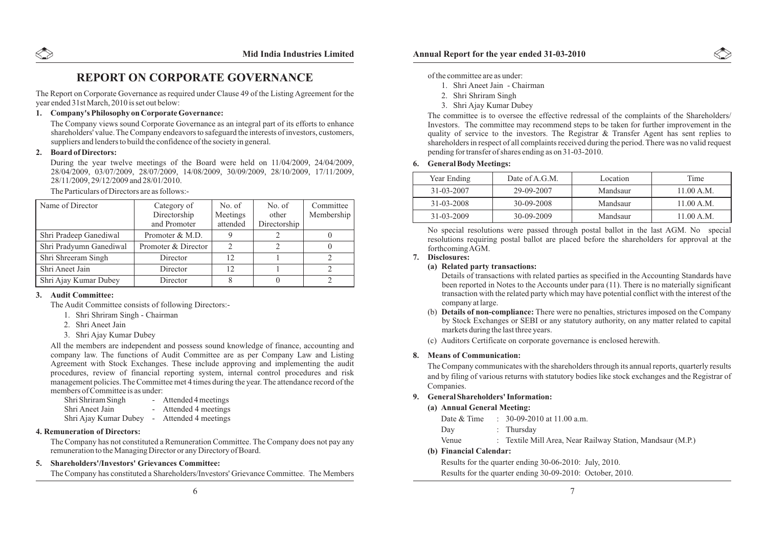## **REPORT ON CORPORATE GOVERNANCE**

The Report on Corporate Governance as required under Clause 49 of the Listing Agreement for the year ended 31st March, 2010 is set out below:

#### **1. Company's Philosophy on Corporate Governance:**

The Company views sound Corporate Governance as an integral part of its efforts to enhance shareholders' value. The Company endeavors to safeguard the interests of investors, customers, suppliers and lenders to build the confidence of the society in general.

#### **2. Board of Directors:**

During the year twelve meetings of the Board were held on 11/04/2009, 24/04/2009, 28/04/2009, 03/07/2009, 28/07/2009, 14/08/2009, 30/09/2009, 28/10/2009, 17/11/2009, 28/11/2009, 29/12/2009 and 28/01/2010.

The Particulars of Directors are as follows:-

| Name of Director        | Category of<br>Directorship<br>and Promoter | No. of<br>Meetings<br>attended | No. of<br>other<br>Directorship | Committee<br>Membership |
|-------------------------|---------------------------------------------|--------------------------------|---------------------------------|-------------------------|
| Shri Pradeep Ganediwal  | Promoter & M.D.                             |                                |                                 |                         |
| Shri Pradyumn Ganediwal | Promoter & Director                         |                                |                                 |                         |
| Shri Shreeram Singh     | Director                                    | 12                             |                                 |                         |
| Shri Aneet Jain         | Director                                    | 12.                            |                                 |                         |
| Shri Ajay Kumar Dubey   | Director                                    |                                |                                 |                         |

#### **3. Audit Committee:**

The Audit Committee consists of following Directors:-

- 1. Shri Shriram Singh Chairman
- 2. Shri Aneet Jain
- 3. Shri Ajay Kumar Dubey

All the members are independent and possess sound knowledge of finance, accounting and company law. The functions of Audit Committee are as per Company Law and Listing Agreement with Stock Exchanges. These include approving and implementing the audit procedures, review of financial reporting system, internal control procedures and risk management policies. The Committee met 4 times during the year. The attendance record of the members of Committee is as under:<br>Shri Shriram Singh

- Attended 4 meetings Shri Aneet Jain - Attended 4 meetings Shri Ajay Kumar Dubey - Attended 4 meetings

#### **4. Remuneration of Directors:**

The Company has not constituted a Remuneration Committee. The Company does not pay any remuneration to the Managing Director or any Directory of Board.

#### **5. Shareholders'/Investors' Grievances Committee:**

The Company has constituted a Shareholders/Investors' Grievance Committee. The Members

#### of the committee are as under:

- 1. Shri Aneet Jain Chairman
- 2. Shri Shriram Singh
- 3. Shri Ajay Kumar Dubey

The committee is to oversee the effective redressal of the complaints of the Shareholders/ Investors. The committee may recommend steps to be taken for further improvement in the quality of service to the investors. The Registrar & Transfer Agent has sent replies to shareholders in respect of all complaints received during the period. There was no valid request pending for transfer of shares ending as on 31-03-2010.

#### **6. General Body Meetings:**

| Year Ending | Date of A.G.M. | Location | Time       |
|-------------|----------------|----------|------------|
| 31-03-2007  | 29-09-2007     | Mandsaur | 11.00 A.M. |
| 31-03-2008  | 30-09-2008     | Mandsaur | 11.00 A.M. |
| 31-03-2009  | $30-09-2009$   | Mandsaur | 11.00 A.M. |

No special resolutions were passed through postal ballot in the last AGM. No special resolutions requiring postal ballot are placed before the shareholders for approval at the forthcoming AGM.

#### **7. Disclosures:**

#### **(a) Related party transactions:**

Details of transactions with related parties as specified in the Accounting Standards have been reported in Notes to the Accounts under para (11). There is no materially significant transaction with the related party which may have potential conflict with the interest of the company at large.

- (b) **Details of non-compliance:** There were no penalties, strictures imposed on the Company by Stock Exchanges or SEBI or any statutory authority, on any matter related to capital markets during the last three years.
- (c) Auditors Certificate on corporate governance is enclosed herewith.

#### **8. Means of Communication:**

The Company communicates with the shareholders through its annual reports, quarterly results and by filing of various returns with statutory bodies like stock exchanges and the Registrar of Companies.

#### **9. General Shareholders' Information:**

#### **(a) Annual General Meeting:**

- Day : Thursday
- Venue : Textile Mill Area, Near Railway Station, Mandsaur (M.P.)

#### **(b) Financial Calendar:**

Ī

 Results for the quarter ending 30-06-2010: July, 2010. Results for the quarter ending 30-09-2010: October, 2010.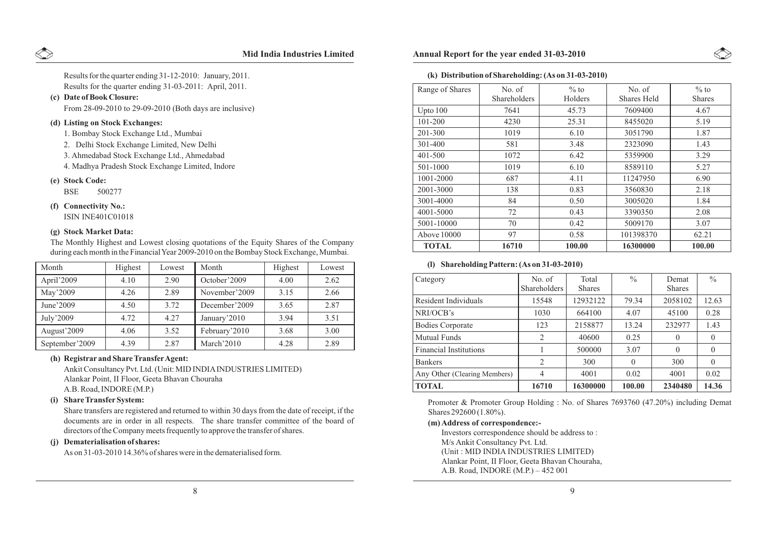Results for the quarter ending 31-03-2011: April, 2011. Results for the quarter ending 31-12-2010: January, 2011.

#### **(c) Date of Book Closure:**

From 28-09-2010 to 29-09-2010 (Both days are inclusive)

#### **(d) Listing on Stock Exchanges:**

1. Bombay Stock Exchange Ltd., Mumbai

2. Delhi Stock Exchange Limited, New Delhi

3. Ahmedabad Stock Exchange Ltd., Ahmedabad

4. Madhya Pradesh Stock Exchange Limited, Indore

#### **(e) Stock Code:**

BSE 500277

#### **(f) Connectivity No.:**

ISIN INE401C01018

#### **(g) Stock Market Data:**

Month | Highest | Lowest April'2009 | 4.10 | 2.90 May'2009 4.26 2.89 June'2009 | 4.50 | 3.72 July'2009 4.72 4.27 August'2009 | 4.06 | 3.52 September'2009 | 4.39 | 2.87 Month Highest Lowest October'2009 | 4.00 | 2.62 November'2009 3.15 2.66 December'2009 3.65 2.87 January'2010 | 3.94 | 3.51 February'2010 | 3.68 | 3.00 March'2010 | 4.28 | 2.89

The Monthly Highest and Lowest closing quotations of the Equity Shares of the Company during each month in the Financial Year 2009-2010 on the Bombay Stock Exchange, Mumbai.

#### **(h) Registrar and Share TransferAgent:**

Ankit Consultancy Pvt. Ltd. (Unit: MID INDIAINDUSTRIES LIMITED) Alankar Point, II Floor, Geeta Bhavan Chouraha A.B. Road, INDORE (M.P.)

#### **(i) Share TransferSystem:**

Share transfers are registered and returned to within 30 days from the date of receipt, if the documents are in order in all respects. The share transfer committee of the board of directors of the Company meets frequently to approve the transfer of shares.

#### **(j) Dematerialisation of shares:**

As on 31-03-2010 14.36% of shares were in the dematerialised form.

#### **Mid India Industries Limited Annual Report for the year ended 31-03-2010**

#### **(k) Distribution of Shareholding: (As on 31-03-2010)**

| Range of Shares | No. of<br>Shareholders | $\%$ to<br>Holders | No. of<br>Shares Held | $\%$ to<br><b>Shares</b> |
|-----------------|------------------------|--------------------|-----------------------|--------------------------|
| Upto 100        | 7641                   | 45.73              | 7609400               | 4.67                     |
| 101-200         | 4230                   | 25.31              | 8455020               | 5.19                     |
| 201-300         | 1019                   | 6.10               | 3051790               | 1.87                     |
| 301-400         | 581                    | 3.48               | 2323090               | 1.43                     |
| $401 - 500$     | 1072                   | 6.42               | 5359900               | 3.29                     |
| 501-1000        | 1019                   | 6.10               | 8589110               | 5.27                     |
| 1001-2000       | 687                    | 4.11               | 11247950              | 6.90                     |
| 2001-3000       | 138                    | 0.83               | 3560830               | 2.18                     |
| 3001-4000       | 84                     | 0.50               | 3005020               | 1.84                     |
| 4001-5000       | 72                     | 0.43               | 3390350               | 2.08                     |
| 5001-10000      | 70                     | 0.42               | 5009170               | 3.07                     |
| Above 10000     | 97                     | 0.58               | 101398370             | 62.21                    |
| <b>TOTAL</b>    | 16710                  | 100.00             | 16300000              | 100.00                   |

#### **(l) Shareholding Pattern: (As on 31-03-2010)**

| Category                      | No. of<br><b>Shareholders</b> | Total<br><b>Shares</b> | $\frac{0}{0}$ | Demat<br><b>Shares</b> | $\frac{0}{0}$ |
|-------------------------------|-------------------------------|------------------------|---------------|------------------------|---------------|
| Resident Individuals          | 15548                         | 12932122               | 79.34         | 2058102                | 12.63         |
| NRI/OCB's                     | 1030                          | 664100                 | 4.07          | 45100                  | 0.28          |
| <b>Bodies Corporate</b>       | 123                           | 2158877                | 13.24         | 232977                 | 1.43          |
| <b>Mutual Funds</b>           | 2                             | 40600                  | 0.25          | $\Omega$               | $\theta$      |
| <b>Financial Institutions</b> |                               | 500000                 | 3.07          | $\Omega$               | $\theta$      |
| <b>Bankers</b>                | 2                             | 300                    | $\Omega$      | 300                    | $\theta$      |
| Any Other (Clearing Members)  | 4                             | 4001                   | 0.02          | 4001                   | 0.02          |
| <b>TOTAL</b>                  | 16710                         | 16300000               | 100.00        | 2340480                | 14.36         |

Promoter & Promoter Group Holding : No. of Shares 7693760 (47.20%) including Demat Shares 292600 (1.80%).

#### **(m) Address of correspondence:-**

Investors correspondence should be address to : M/s Ankit Consultancy Pvt. Ltd. (Unit : MID INDIA INDUSTRIES LIMITED) Alankar Point, II Floor, Geeta Bhavan Chouraha, A.B. Road, INDORE (M.P.) – 452 001



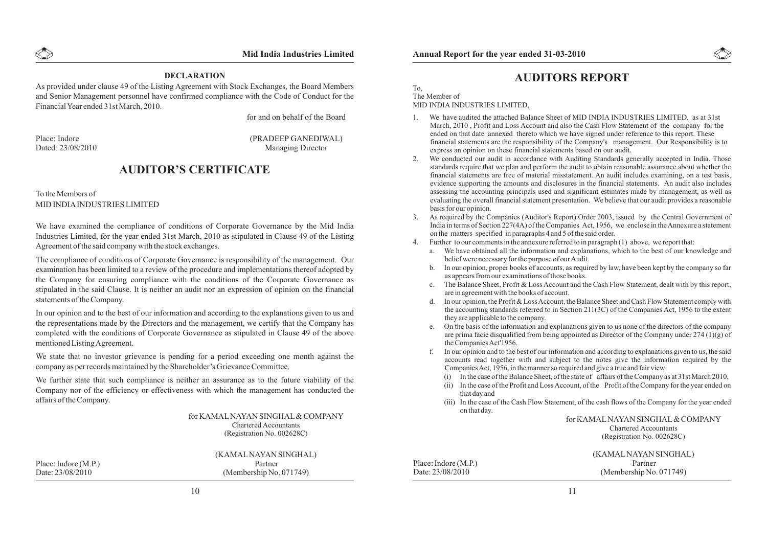#### **DECLARATION**

As provided under clause 49 of the Listing Agreement with Stock Exchanges, the Board Members and Senior Management personnel have confirmed compliance with the Code of Conduct for the Financial Year ended 31st March, 2010.

for and on behalf of the Board

Place: Indore (PRADEEP GANEDIWAL)<br>Dated: 23/08/2010 Managing Director Managing Director

## **AUDITOR'S CERTIFICATE**

#### To the Members of MID INDIAINDUSTRIES LIMITED

We have examined the compliance of conditions of Corporate Governance by the Mid India Industries Limited, for the year ended 31st March, 2010 as stipulated in Clause 49 of the Listing Agreement of the said company with the stock exchanges.

The compliance of conditions of Corporate Governance is responsibility of the management. Our examination has been limited to a review of the procedure and implementations thereof adopted by the Company for ensuring compliance with the conditions of the Corporate Governance as stipulated in the said Clause. It is neither an audit nor an expression of opinion on the financial statements of the Company.

In our opinion and to the best of our information and according to the explanations given to us and the representations made by the Directors and the management, we certify that the Company has completed with the conditions of Corporate Governance as stipulated in Clause 49 of the above mentioned Listing Agreement.

We state that no investor grievance is pending for a period exceeding one month against the company as per records maintained by the Shareholder's Grievance Committee.

We further state that such compliance is neither an assurance as to the future viability of the Company nor of the efficiency or effectiveness with which the management has conducted the affairs of the Company.

> for KAMALNAYAN SINGHAL& COMPANY Chartered Accountants (Registration No. 002628C)

Place: Indore (M.P.) Partner<br>Date: 23/08/2010 (Membership No.)

(KAMALNAYAN SINGHAL)  $(Membership No. 071749)$ 



#### To, The Member of

MID INDIA INDUSTRIES LIMITED,

- 1. We have audited the attached Balance Sheet of MID INDIA INDUSTRIES LIMITED, as at 31st March, 2010 , Profit and Loss Account and also the Cash Flow Statement of the company for the ended on that date annexed thereto which we have signed under reference to this report. These financial statements are the responsibility of the Company's management. Our Responsibility is to express an opinion on these financial statements based on our audit.
- 2. We conducted our audit in accordance with Auditing Standards generally accepted in India. Those standards require that we plan and perform the audit to obtain reasonable assurance about whether the financial statements are free of material misstatement. An audit includes examining, on a test basis, evidence supporting the amounts and disclosures in the financial statements. An audit also includes assessing the accounting principals used and significant estimates made by management, as well as evaluating the overall financial statement presentation. We believe that our audit provides a reasonable basis for our opinion.
- 3. As required by the Companies (Auditor's Report) Order 2003, issued by the Central Government of India in terms of Section 227(4A) of the Companies Act, 1956, we enclose in the Annexure a statement on the matters specified in paragraphs 4 and 5 of the said order.
- 4. Further to our comments in the annexure referred to in paragraph (1) above, we report that:
	- a. We have obtained all the information and explanations, which to the best of our knowledge and belief were necessary for the purpose of our Audit.
	- b. In our opinion, proper books of accounts, as required by law, have been kept by the company so far as appears from our examinations of those books.
	- c. The Balance Sheet, Profit & Loss Account and the Cash Flow Statement, dealt with by this report, are in agreement with the books of account.
	- d. In our opinion, the Profit & Loss Account, the Balance Sheet and Cash Flow Statement comply with the accounting standards referred to in Section 211(3C) of the Companies Act, 1956 to the extent they are applicable to the company.
	- e. On the basis of the information and explanations given to us none of the directors of the company are prima facie disqualified from being appointed as Director of the Company under  $274 (1)(g)$  of the Companies Act'1956.
	- f. In our opinion and to the best of our information and according to explanations given to us, the said accounts read together with and subject to the notes give the information required by the Companies Act, 1956, in the manner so required and give a true and fair view:
		- (i) In the case of the Balance Sheet, of the state of affairs of the Company as at 31st March 2010,
		- (ii) In the case of the Profit and Loss Account, of the Profit of the Company for the year ended on that day and
		- (iii) In the case of the Cash Flow Statement, of the cash flows of the Company for the year ended on that day.

for KAMALNAYAN SINGHAL& COMPANY Chartered Accountants (Registration No. 002628C)

Place: Indore (M.P.) Partner<br>Date: 23/08/2010 (Membership No.)

(KAMALNAYAN SINGHAL)  $(Membership No. 071749)$ 

10 and 11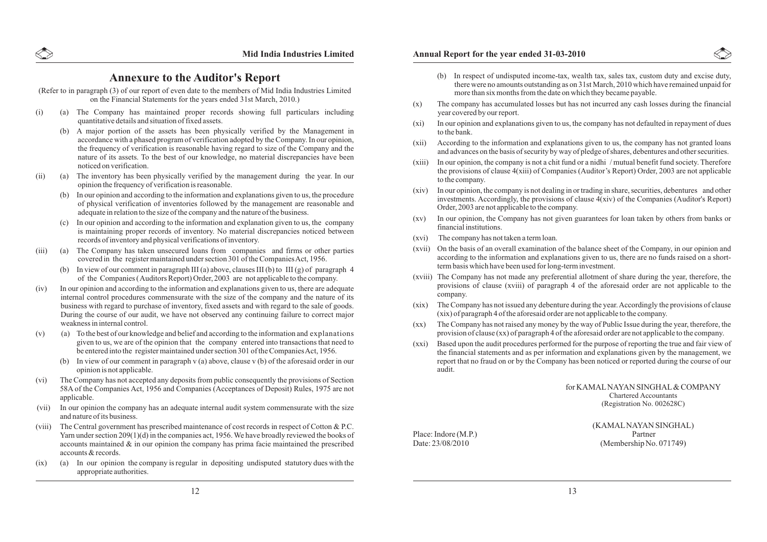## **Annexure to the Auditor's Report**

(Refer to in paragraph (3) of our report of even date to the members of Mid India Industries Limited on the Financial Statements for the years ended 31st March, 2010.)

- (i) (a) The Company has maintained proper records showing full particulars including quantitative details and situation of fixed assets.
	- (b) A major portion of the assets has been physically verified by the Management in accordance with a phased program of verification adopted by the Company. In our opinion, the frequency of verification is reasonable having regard to size of the Company and the nature of its assets. To the best of our knowledge, no material discrepancies have been noticed on verification.
- (ii) (a) The inventory has been physically verified by the management during the year. In our opinion the frequency of verification is reasonable.
	- (b) In our opinion and according to the information and explanations given to us, the procedure of physical verification of inventories followed by the management are reasonable and adequate in relation to the size of the company and the nature of the business.
	- (c) In our opinion and according to the information and explanation given to us, the company is maintaining proper records of inventory. No material discrepancies noticed between records of inventory and physical verifications of inventory.
- (iii) (a) The Company has taken unsecured loans from companies and firms or other parties covered in the register maintained under section 301 of the Companies Act, 1956.
	- (b) In view of our comment in paragraph III (a) above, clauses III (b) to III (g) of paragraph 4 of the Companies ( Auditors Report) Order, 2003 are not applicable to the company.
- (iv) In our opinion and according to the information and explanations given to us, there are adequate internal control procedures commensurate with the size of the company and the nature of its business with regard to purchase of inventory, fixed assets and with regard to the sale of goods. During the course of our audit, we have not observed any continuing failure to correct major weakness in internal control.
- $(v)$  (a) To the best of our knowledge and belief and according to the information and explanations given to us, we are of the opinion that the company entered into transactions that need to be entered into the register maintained under section 301 of the Companies Act, 1956.
	- (b) In view of our comment in paragraph v (a) above, clause v (b) of the aforesaid order in our opinion is not applicable.
- (vi) The Company has not accepted any deposits from public consequently the provisions of Section 58A of the Companies Act, 1956 and Companies (Acceptances of Deposit) Rules, 1975 are not applicable.
- (vii) In our opinion the company has an adequate internal audit system commensurate with the size and nature of its business.
- (viii) The Central government has prescribed maintenance of cost records in respect of Cotton & P.C. Yarn under section 209(1)(d) in the companies act, 1956. We have broadly reviewed the books of accounts maintained  $\&$  in our opinion the company has prima facie maintained the prescribed accounts & records.
- (ix) (a) In our opinion the company is regular in depositing undisputed statutory dues with the appropriate authorities.

- (b) In respect of undisputed income-tax, wealth tax, sales tax, custom duty and excise duty, there were no amounts outstanding as on 31st March, 2010 which have remained unpaid for more than six months from the date on which they became payable.
- (x) The company has accumulated losses but has not incurred any cash losses during the financial year covered by our report.
- (xi) In our opinion and explanations given to us, the company has not defaulted in repayment of dues to the bank.
- (xii) According to the information and explanations given to us, the company has not granted loans and advances on the basis of security by way of pledge of shares, debentures and other securities.
- (xiii) In our opinion, the company is not a chit fund or a nidhi / mutual benefit fund society. Therefore the provisions of clause 4(xiii) of Companies (Auditor's Report) Order, 2003 are not applicable to the company.
- (xiv) In our opinion, the company is not dealing in or trading in share, securities, debentures and other investments. Accordingly, the provisions of clause  $4(xiv)$  of the Companies (Auditor's Report) Order, 2003 are not applicable to the company.
- (xv) In our opinion, the Company has not given guarantees for loan taken by others from banks or financial institutions.
- (xvi) The company has not taken a term loan.
- (xvii) On the basis of an overall examination of the balance sheet of the Company, in our opinion and according to the information and explanations given to us, there are no funds raised on a shortterm basis which have been used for long-term investment.
- (xviii) The Company has not made any preferential allotment of share during the year, therefore, the provisions of clause (xviii) of paragraph 4 of the aforesaid order are not applicable to the company.
- (xix) The Company has not issued any debenture during the year. Accordingly the provisions of clause (xix) of paragraph 4 of the aforesaid order are not applicable to the company.
- (xx) The Company has not raised any money by the way of Public Issue during the year, therefore, the provision of clause (xx) of paragraph 4 of the aforesaid order are not applicable to the company.
- (xxi) Based upon the audit procedures performed for the purpose of reporting the true and fair view of the financial statements and as per information and explanations given by the management, we report that no fraud on or by the Company has been noticed or reported during the course of our audit.

#### for KAMALNAYAN SINGHAL& COMPANY Chartered Accountants (Registration No. 002628C)

(KAMALNAYAN SINGHAL) Place: Indore (M.P.) Partner<br>Date: 23/08/2010 (Membership No.)  $(Membership No. 071749)$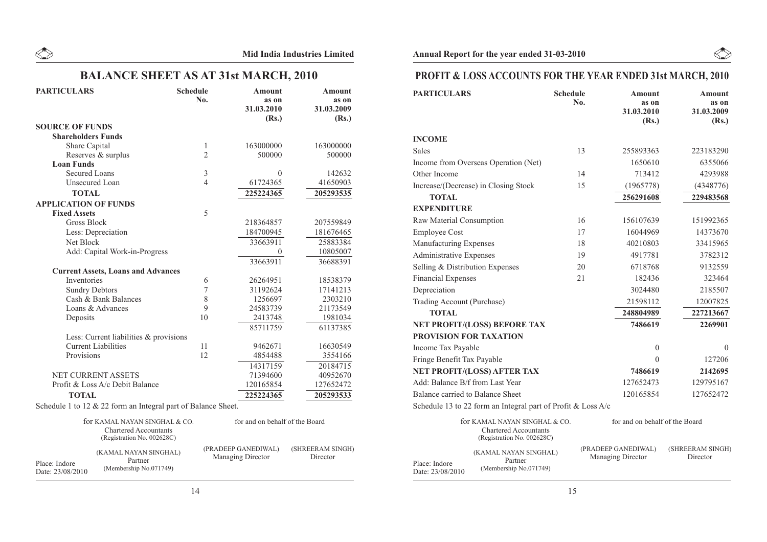## **BALANCE SHEET AS AT 31st MARCH, 2010**

| <b>PARTICULARS</b>                                            | <b>Schedule</b><br>No. | <b>Amount</b><br>as on<br>31.03.2010<br>(Rs.) | <b>Amount</b><br>as on<br>31.03.2009<br>(Rs.) |
|---------------------------------------------------------------|------------------------|-----------------------------------------------|-----------------------------------------------|
| <b>SOURCE OF FUNDS</b>                                        |                        |                                               |                                               |
| <b>Shareholders Funds</b>                                     |                        |                                               |                                               |
| Share Capital                                                 | $\mathbf{1}$           | 163000000                                     | 163000000                                     |
| Reserves & surplus                                            | $\overline{2}$         | 500000                                        | 500000                                        |
| <b>Loan Funds</b>                                             |                        |                                               |                                               |
| <b>Secured Loans</b>                                          | 3                      | $\theta$                                      | 142632                                        |
| <b>Unsecured Loan</b>                                         | $\overline{4}$         | 61724365                                      | 41650903                                      |
| <b>TOTAL</b>                                                  |                        | 225224365                                     | 205293535                                     |
| <b>APPLICATION OF FUNDS</b>                                   |                        |                                               |                                               |
| <b>Fixed Assets</b>                                           | 5                      |                                               |                                               |
| <b>Gross Block</b>                                            |                        | 218364857                                     | 207559849                                     |
| Less: Depreciation                                            |                        | 184700945                                     | 181676465                                     |
| Net Block                                                     |                        | 33663911                                      | 25883384                                      |
| Add: Capital Work-in-Progress                                 |                        | $\theta$                                      | 10805007                                      |
|                                                               |                        | 33663911                                      | 36688391                                      |
| <b>Current Assets, Loans and Advances</b>                     |                        |                                               |                                               |
| Inventories                                                   | 6                      | 26264951                                      | 18538379                                      |
| <b>Sundry Debtors</b>                                         | $\overline{7}$         | 31192624                                      | 17141213                                      |
| Cash & Bank Balances                                          | 8                      | 1256697                                       | 2303210                                       |
| Loans & Advances                                              | 9                      | 24583739                                      | 21173549                                      |
| Deposits                                                      | 10                     | 2413748                                       | 1981034                                       |
|                                                               |                        | 85711759                                      | 61137385                                      |
| Less: Current liabilities & provisions                        |                        |                                               |                                               |
| <b>Current Liabilities</b>                                    | 11                     | 9462671                                       | 16630549                                      |
| Provisions                                                    | 12                     | 4854488                                       | 3554166                                       |
|                                                               |                        | 14317159                                      | 20184715                                      |
| NET CURRENT ASSETS                                            |                        | 71394600                                      | 40952670                                      |
| Profit & Loss A/c Debit Balance                               |                        | 120165854                                     | 127652472                                     |
| <b>TOTAL</b>                                                  |                        | 225224365                                     | 205293533                                     |
| Schedule 1 to 12 & 22 form an Integral part of Balance Sheet. |                        |                                               |                                               |

|                                   | for KAMAL NAYAN SINGHAL & CO.<br><b>Chartered Accountants</b><br>(Registration No. 002628C) | for and on behalf of the Board                  |                              |  |
|-----------------------------------|---------------------------------------------------------------------------------------------|-------------------------------------------------|------------------------------|--|
| Place: Indore<br>Date: 23/08/2010 | (KAMAL NAYAN SINGHAL)<br>Partner<br>(Membership No.071749)                                  | (PRADEEP GANEDIWAL)<br><b>Managing Director</b> | (SHREERAM SINGH)<br>Director |  |

## **PROFIT & LOSS ACCOUNTS FOR THE YEAR ENDED 31st MARCH, 2010**

 $\begin{picture}(220,20) \put(0,0){\line(1,0){10}} \put(15,0){\line(1,0){10}} \put(15,0){\line(1,0){10}} \put(15,0){\line(1,0){10}} \put(15,0){\line(1,0){10}} \put(15,0){\line(1,0){10}} \put(15,0){\line(1,0){10}} \put(15,0){\line(1,0){10}} \put(15,0){\line(1,0){10}} \put(15,0){\line(1,0){10}} \put(15,0){\line(1,0){10}} \put(15,0){\line($ 

| <b>PARTICULARS</b>                                           | <b>Schedule</b><br>No. | <b>Amount</b><br>as on<br>31.03.2010<br>(Rs.) | <b>Amount</b><br>as on<br>31.03.2009<br>(Rs.) |
|--------------------------------------------------------------|------------------------|-----------------------------------------------|-----------------------------------------------|
| <b>INCOME</b>                                                |                        |                                               |                                               |
| <b>Sales</b>                                                 | 13                     | 255893363                                     | 223183290                                     |
| Income from Overseas Operation (Net)                         |                        | 1650610                                       | 6355066                                       |
| Other Income                                                 | 14                     | 713412                                        | 4293988                                       |
| Increase/(Decrease) in Closing Stock                         | 15                     | (1965778)                                     | (4348776)                                     |
| <b>TOTAL</b>                                                 |                        | 256291608                                     | 229483568                                     |
| <b>EXPENDITURE</b>                                           |                        |                                               |                                               |
| Raw Material Consumption                                     | 16                     | 156107639                                     | 151992365                                     |
| <b>Employee Cost</b>                                         | 17                     | 16044969                                      | 14373670                                      |
| Manufacturing Expenses                                       | 18                     | 40210803                                      | 33415965                                      |
| <b>Administrative Expenses</b>                               | 19                     | 4917781                                       | 3782312                                       |
| Selling & Distribution Expenses                              | 20                     | 6718768                                       | 9132559                                       |
| <b>Financial Expenses</b>                                    | 21                     | 182436                                        | 323464                                        |
| Depreciation                                                 |                        | 3024480                                       | 2185507                                       |
| <b>Trading Account (Purchase)</b>                            |                        | 21598112                                      | 12007825                                      |
| <b>TOTAL</b>                                                 |                        | 248804989                                     | 227213667                                     |
| NET PROFIT/(LOSS) BEFORE TAX                                 |                        | 7486619                                       | 2269901                                       |
| PROVISION FOR TAXATION                                       |                        |                                               |                                               |
| Income Tax Payable                                           |                        | $\mathbf{0}$                                  | $\Omega$                                      |
| Fringe Benefit Tax Payable                                   |                        | $\Omega$                                      | 127206                                        |
| NET PROFIT/(LOSS) AFTER TAX                                  |                        | 7486619                                       | 2142695                                       |
| Add: Balance B/f from Last Year                              |                        | 127652473                                     | 129795167                                     |
| Balance carried to Balance Sheet                             |                        | 120165854                                     | 127652472                                     |
| Schedule 13 to 22 form an Integral part of Profit & Loss A/c |                        |                                               |                                               |
| for KAMAL NAYAN SINGHAL & CO.                                |                        | for and on behalf of the Board                |                                               |

|                                   | TOT KAMAL NAYAN SINGHAL & CO.<br><b>Chartered Accountants</b><br>(Registration No. 002628C) | for and on behalf of the Board           |                              |
|-----------------------------------|---------------------------------------------------------------------------------------------|------------------------------------------|------------------------------|
| Place: Indore<br>Date: 23/08/2010 | (KAMAL NAYAN SINGHAL)<br>Partner<br>(Membership No.071749)                                  | (PRADEEP GANEDIWAL)<br>Managing Director | (SHREERAM SINGH)<br>Director |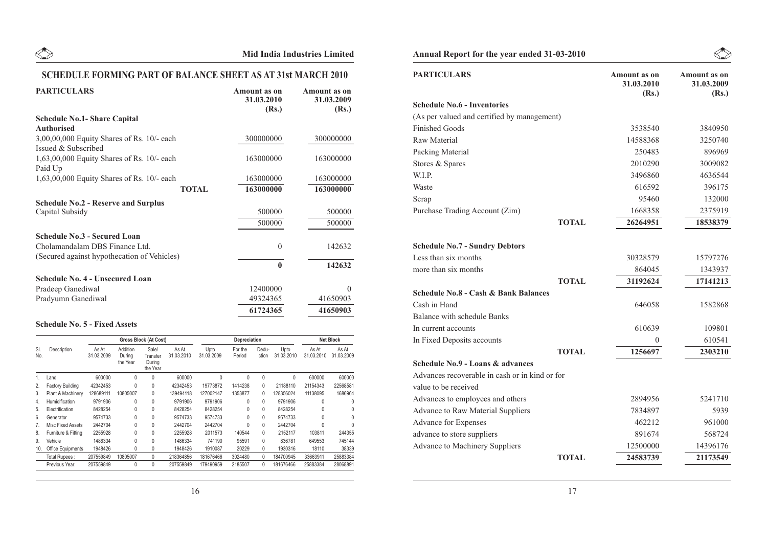## **SCHEDULE FORMING PART OF BALANCE SHEET AS AT 31st MARCH 2010**

| <b>PARTICULARS</b>                           | Amount as on<br>31.03.2010<br>(Rs.) | Amount as on<br>31.03.2009<br>(Rs.) |
|----------------------------------------------|-------------------------------------|-------------------------------------|
| <b>Schedule No.1- Share Capital</b>          |                                     |                                     |
| <b>Authorised</b>                            |                                     |                                     |
| $3,00,00,000$ Equity Shares of Rs. 10/- each | 300000000                           | 300000000                           |
| Issued & Subscribed                          |                                     |                                     |
| $1,63,00,000$ Equity Shares of Rs. 10/- each | 163000000                           | 163000000                           |
| Paid Up                                      |                                     |                                     |
| $1,63,00,000$ Equity Shares of Rs. 10/- each | 163000000                           | 163000000                           |
| <b>TOTAL</b>                                 | 163000000                           | 163000000                           |
| <b>Schedule No.2 - Reserve and Surplus</b>   |                                     |                                     |
| Capital Subsidy                              | 500000                              | 500000                              |
|                                              | 500000                              | 500000                              |
| <b>Schedule No.3 - Secured Loan</b>          |                                     |                                     |
| Cholamandalam DBS Finance Ltd.               | $\theta$                            | 142632                              |
| (Secured against hypothecation of Vehicles)  |                                     |                                     |
|                                              | $\mathbf{0}$                        | 142632                              |
| <b>Schedule No. 4 - Unsecured Loan</b>       |                                     |                                     |
| Pradeep Ganediwal                            | 12400000                            | $\Omega$                            |
| Pradyumn Ganediwal                           | 49324365                            | 41650903                            |
|                                              | 61724365                            | 41650903                            |

#### **Schedule No. 5 - Fixed Assets**

|                |                         |                     |                                | Gross Block (At Cost)                   |                     |                    | Depreciation      |                |                    |                     | <b>Net Block</b>    |
|----------------|-------------------------|---------------------|--------------------------------|-----------------------------------------|---------------------|--------------------|-------------------|----------------|--------------------|---------------------|---------------------|
| SI.<br>No.     | Description             | As At<br>31.03.2009 | Addition<br>During<br>the Year | Sale/<br>Transfer<br>During<br>the Year | As At<br>31.03.2010 | Upto<br>31.03.2009 | For the<br>Period | Dedu-<br>ction | Upto<br>31.03.2010 | As At<br>31.03.2010 | As At<br>31.03.2009 |
|                | Land                    | 600000              | 0                              | 0                                       | 600000              | 0                  | 0                 | $\mathbf{0}$   | $\mathbf{0}$       | 600000              | 600000              |
| 2.             | <b>Factory Building</b> | 42342453            | 0                              | 0                                       | 42342453            | 19773872           | 1414238           | $\mathbf{0}$   | 21188110           | 21154343            | 22568581            |
| 3.             | Plant & Machinery       | 128689111           | 10805007                       | $\mathbf{0}$                            | 139494118           | 127002147          | 1353877           | $\Omega$       | 128356024          | 11138095            | 1686964             |
| 4.             | Humidification          | 9791906             | 0                              | 0                                       | 9791906             | 9791906            | 0                 | $\Omega$       | 9791906            | 0                   | 0                   |
| 5.             | Electrification         | 8428254             | $\Omega$                       | 0                                       | 8428254             | 8428254            | $\Omega$          | $\Omega$       | 8428254            | 0                   |                     |
| 6.             | Generator               | 9574733             | $\Omega$                       | 0                                       | 9574733             | 9574733            | $\Omega$          | $\mathbf{0}$   | 9574733            | 0                   |                     |
| 7 <sub>1</sub> | Misc Fixed Assets       | 2442704             | 0                              | 0                                       | 2442704             | 2442704            | 0                 | $\mathbf{0}$   | 2442704            | 0                   | 0                   |
| 8.             | Furniture & Fitting     | 2255928             | 0                              | 0                                       | 2255928             | 2011573            | 140544            | $\mathbf{0}$   | 2152117            | 103811              | 244355              |
| 9.             | Vehicle                 | 1486334             | $\Omega$                       | $\Omega$                                | 1486334             | 741190             | 95591             | $\Omega$       | 836781             | 649553              | 745144              |
| 10.            | Office Equipments       | 1948426             | $\Omega$                       | 0                                       | 1948426             | 1910087            | 20229             | $\mathbf{0}$   | 1930316            | 18110               | 38339               |
|                | Total Rupees:           | 207559849           | 10805007                       | $\mathbf{0}$                            | 218364856           | 181676466          | 3024480           | $\Omega$       | 184700945          | 33663911            | 25883384            |
|                | Previous Year:          | 207559849           | 0                              | 0                                       | 207559849           | 179490959          | 2185507           | $\mathbf{0}$   | 181676466          | 25883384            | 28068891            |

## **Annual Report for the year ended 31-03-2010**

| <b>PARTICULARS</b>                              |              | Amount as on<br>31.03.2010<br>(Rs.) | Amount as on<br>31.03.2009<br>(Rs.) |
|-------------------------------------------------|--------------|-------------------------------------|-------------------------------------|
| <b>Schedule No.6 - Inventories</b>              |              |                                     |                                     |
| (As per valued and certified by management)     |              |                                     |                                     |
| <b>Finished Goods</b>                           |              | 3538540                             | 3840950                             |
| <b>Raw Material</b>                             |              | 14588368                            | 3250740                             |
| Packing Material                                |              | 250483                              | 896969                              |
| Stores & Spares                                 |              | 2010290                             | 3009082                             |
| W.I.P.                                          |              | 3496860                             | 4636544                             |
| Waste                                           |              | 616592                              | 396175                              |
| Scrap                                           |              | 95460                               | 132000                              |
| Purchase Trading Account (Zim)                  |              | 1668358                             | 2375919                             |
|                                                 | <b>TOTAL</b> | 26264951                            | 18538379                            |
|                                                 |              |                                     |                                     |
| <b>Schedule No.7 - Sundry Debtors</b>           |              |                                     |                                     |
| Less than six months                            |              | 30328579                            | 15797276                            |
| more than six months                            |              | 864045                              | 1343937                             |
|                                                 | <b>TOTAL</b> | 31192624                            | 17141213                            |
| <b>Schedule No.8 - Cash &amp; Bank Balances</b> |              |                                     |                                     |
| Cash in Hand                                    |              | 646058                              | 1582868                             |
| <b>Balance with schedule Banks</b>              |              |                                     |                                     |
| In current accounts                             |              | 610639                              | 109801                              |
| In Fixed Deposits accounts                      |              | $^{0}$                              | 610541                              |
|                                                 | <b>TOTAL</b> | 1256697                             | 2303210                             |
| Schedule No.9 - Loans & advances                |              |                                     |                                     |
| Advances recoverable in cash or in kind or for  |              |                                     |                                     |
| value to be received                            |              |                                     |                                     |
| Advances to employees and others                |              | 2894956                             | 5241710                             |
| Advance to Raw Material Suppliers               |              | 7834897                             | 5939                                |
| Advance for Expenses                            |              | 462212                              | 961000                              |
| advance to store suppliers                      |              | 891674                              | 568724                              |
| <b>Advance to Machinery Suppliers</b>           |              | 12500000                            | 14396176                            |
|                                                 | <b>TOTAL</b> | 24583739                            | 21173549                            |

 $\begin{picture}(120,15) \put(0,0){\line(1,0){10}} \put(15,0){\line(1,0){10}} \put(15,0){\line(1,0){10}} \put(15,0){\line(1,0){10}} \put(15,0){\line(1,0){10}} \put(15,0){\line(1,0){10}} \put(15,0){\line(1,0){10}} \put(15,0){\line(1,0){10}} \put(15,0){\line(1,0){10}} \put(15,0){\line(1,0){10}} \put(15,0){\line(1,0){10}} \put(15,0){\line($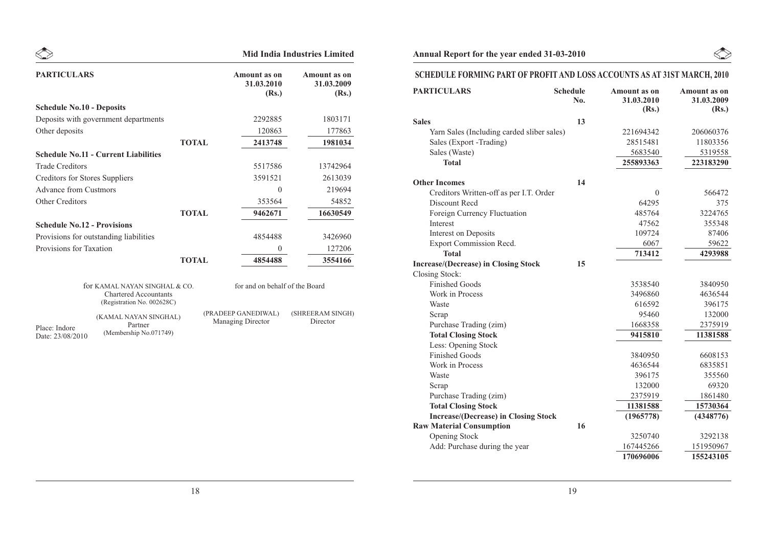|                                       |                                                                                             |                                                 | <b>Mid India Industries Limited</b>        |
|---------------------------------------|---------------------------------------------------------------------------------------------|-------------------------------------------------|--------------------------------------------|
| <b>PARTICULARS</b>                    |                                                                                             | <b>Amount</b> as on<br>31.03.2010<br>(Rs.)      | <b>Amount</b> as on<br>31.03.2009<br>(Rs.) |
| <b>Schedule No.10 - Deposits</b>      |                                                                                             |                                                 |                                            |
|                                       | Deposits with government departments                                                        | 2292885                                         | 1803171                                    |
| Other deposits                        |                                                                                             | 120863                                          | 177863                                     |
|                                       |                                                                                             | <b>TOTAL</b><br>2413748                         | 1981034                                    |
|                                       | <b>Schedule No.11 - Current Liabilities</b>                                                 |                                                 |                                            |
| <b>Trade Creditors</b>                |                                                                                             | 5517586                                         | 13742964                                   |
| <b>Creditors for Stores Suppliers</b> |                                                                                             | 3591521                                         | 2613039                                    |
| <b>Advance from Custmors</b>          |                                                                                             | $\theta$                                        | 219694                                     |
| <b>Other Creditors</b>                |                                                                                             | 353564                                          | 54852                                      |
|                                       |                                                                                             | <b>TOTAL</b><br>9462671                         | 16630549                                   |
| <b>Schedule No.12 - Provisions</b>    |                                                                                             |                                                 |                                            |
|                                       | Provisions for outstanding liabilities                                                      | 4854488                                         | 3426960                                    |
| Provisions for Taxation               |                                                                                             | $\theta$                                        | 127206                                     |
|                                       |                                                                                             | 4854488<br><b>TOTAL</b>                         | 3554166                                    |
|                                       | for KAMAL NAYAN SINGHAL & CO.<br><b>Chartered Accountants</b><br>(Registration No. 002628C) | for and on behalf of the Board                  |                                            |
| Place: Indore<br>Date: 23/08/2010     | (KAMAL NAYAN SINGHAL)<br>Partner<br>(Membership No.071749)                                  | (PRADEEP GANEDIWAL)<br><b>Managing Director</b> | (SHREERAM SINGH)<br>Director               |

## Annual Report for the year ended 31-03-2010

## **SCHEDULE FORMING PART OF PROFIT AND LOSS ACCOUNTS AS AT 31ST MARCH, 2010**

| <b>PARTICULARS</b>                                   | <b>Schedule</b><br>No. | Amount as on<br>31.03.2010<br>(Rs.) | <b>Amount as on</b><br>31.03.2009<br>(Rs.) |
|------------------------------------------------------|------------------------|-------------------------------------|--------------------------------------------|
| <b>Sales</b>                                         | 13                     |                                     |                                            |
| Yarn Sales (Including carded sliber sales)           |                        | 221694342                           | 206060376                                  |
| Sales (Export -Trading)                              |                        | 28515481                            | 11803356                                   |
| Sales (Waste)                                        |                        | 5683540                             | 5319558                                    |
| <b>Total</b>                                         |                        | 255893363                           | 223183290                                  |
| <b>Other Incomes</b>                                 | 14                     |                                     |                                            |
| Creditors Written-off as per I.T. Order              |                        | $\boldsymbol{0}$                    | 566472                                     |
| Discount Recd                                        |                        | 64295                               | 375                                        |
| Foreign Currency Fluctuation                         |                        | 485764                              | 3224765                                    |
| Interest                                             |                        | 47562                               | 355348                                     |
| Interest on Deposits                                 |                        | 109724                              | 87406                                      |
| Export Commission Recd.                              |                        | 6067                                | 59622                                      |
| <b>Total</b>                                         |                        | 713412                              | 4293988                                    |
| <b>Increase/(Decrease) in Closing Stock</b>          | 15                     |                                     |                                            |
| Closing Stock:                                       |                        |                                     |                                            |
| <b>Finished Goods</b><br>Work in Process             |                        | 3538540                             | 3840950                                    |
| Waste                                                |                        | 3496860<br>616592                   | 4636544                                    |
|                                                      |                        | 95460                               | 396175<br>132000                           |
| Scrap                                                |                        | 1668358                             | 2375919                                    |
| Purchase Trading (zim)<br><b>Total Closing Stock</b> |                        | 9415810                             | 11381588                                   |
| Less: Opening Stock                                  |                        |                                     |                                            |
| <b>Finished Goods</b>                                |                        | 3840950                             | 6608153                                    |
| Work in Process                                      |                        | 4636544                             | 6835851                                    |
| Waste                                                |                        | 396175                              | 355560                                     |
| Scrap                                                |                        | 132000                              | 69320                                      |
| Purchase Trading (zim)                               |                        | 2375919                             | 1861480                                    |
| <b>Total Closing Stock</b>                           |                        | 11381588                            | 15730364                                   |
| <b>Increase/(Decrease) in Closing Stock</b>          |                        | (1965778)                           | (4348776)                                  |
| <b>Raw Material Consumption</b>                      | 16                     |                                     |                                            |
| <b>Opening Stock</b>                                 |                        | 3250740                             | 3292138                                    |
| Add: Purchase during the year                        |                        | 167445266                           | 151950967                                  |
|                                                      |                        | 170696006                           | 155243105                                  |

 $\begin{picture}(20,20) \put(0,0){\line(1,0){10}} \put(15,0){\line(1,0){10}} \put(15,0){\line(1,0){10}} \put(15,0){\line(1,0){10}} \put(15,0){\line(1,0){10}} \put(15,0){\line(1,0){10}} \put(15,0){\line(1,0){10}} \put(15,0){\line(1,0){10}} \put(15,0){\line(1,0){10}} \put(15,0){\line(1,0){10}} \put(15,0){\line(1,0){10}} \put(15,0){\line(1$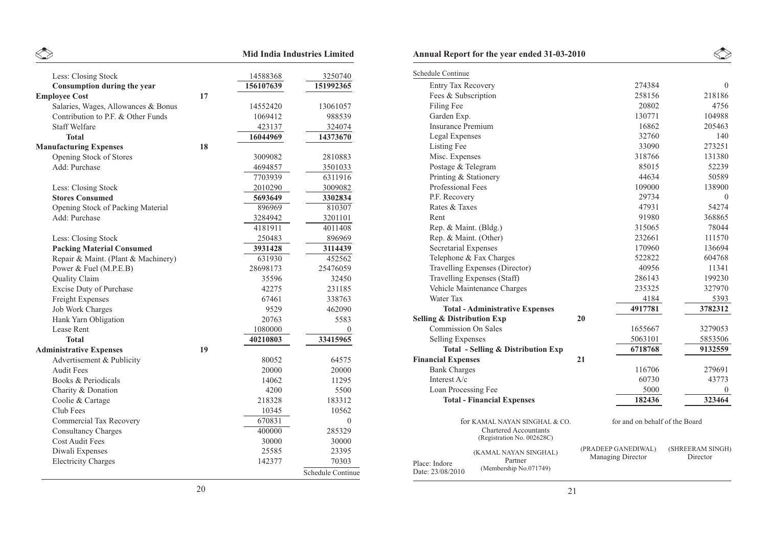|                                     |    |           | <b>Mid India Industries Limited</b> | A                           |
|-------------------------------------|----|-----------|-------------------------------------|-----------------------------|
| Less: Closing Stock                 |    | 14588368  | 3250740                             | $\underline{\underline{S}}$ |
| Consumption during the year         |    | 156107639 | 151992365                           |                             |
| <b>Employee Cost</b>                | 17 |           |                                     |                             |
| Salaries, Wages, Allowances & Bonus |    | 14552420  | 13061057                            |                             |
| Contribution to P.F. & Other Funds  |    | 1069412   | 988539                              |                             |
| <b>Staff Welfare</b>                |    | 423137    | 324074                              |                             |
| <b>Total</b>                        |    | 16044969  | 14373670                            |                             |
| <b>Manufacturing Expenses</b>       | 18 |           |                                     |                             |
| Opening Stock of Stores             |    | 3009082   | 2810883                             |                             |
| Add: Purchase                       |    | 4694857   | 3501033                             |                             |
|                                     |    | 7703939   | 6311916                             |                             |
| Less: Closing Stock                 |    | 2010290   | 3009082                             |                             |
| <b>Stores Consumed</b>              |    | 5693649   | 3302834                             |                             |
| Opening Stock of Packing Material   |    | 896969    | 810307                              |                             |
| Add: Purchase                       |    | 3284942   | 3201101                             |                             |
|                                     |    | 4181911   | 4011408                             |                             |
| Less: Closing Stock                 |    | 250483    | 896969                              |                             |
| <b>Packing Material Consumed</b>    |    | 3931428   | 3114439                             |                             |
| Repair & Maint. (Plant & Machinery) |    | 631930    | 452562                              |                             |
| Power & Fuel (M.P.E.B)              |    | 28698173  | 25476059                            |                             |
| <b>Quality Claim</b>                |    | 35596     | 32450                               |                             |
| <b>Excise Duty of Purchase</b>      |    | 42275     | 231185                              |                             |
| Freight Expenses                    |    | 67461     | 338763                              |                             |
| <b>Job Work Charges</b>             |    | 9529      | 462090                              |                             |
| Hank Yarn Obligation                |    | 20763     | 5583                                | S                           |
| Lease Rent                          |    | 1080000   | $\Omega$                            |                             |
| <b>Total</b>                        |    | 40210803  | 33415965                            |                             |
| <b>Administrative Expenses</b>      | 19 |           |                                     |                             |
| Advertisement & Publicity           |    | 80052     | 64575                               | $\mathbf{F}$                |
| <b>Audit Fees</b>                   |    | 20000     | 20000                               |                             |
| <b>Books &amp; Periodicals</b>      |    | 14062     | 11295                               |                             |
| Charity & Donation                  |    | 4200      | 5500                                |                             |
| Coolie & Cartage                    |    | 218328    | 183312                              |                             |
| Club Fees                           |    | 10345     | 10562                               |                             |
| <b>Commercial Tax Recovery</b>      |    | 670831    | $\Omega$                            |                             |
| <b>Consultancy Charges</b>          |    | 400000    | 285329                              |                             |
| <b>Cost Audit Fees</b>              |    | 30000     | 30000                               |                             |
| Diwali Expenses                     |    | 25585     | 23395                               |                             |
| <b>Electricity Charges</b>          |    | 142377    | 70303                               | P                           |
|                                     |    |           | Schedule Continue                   | D                           |
|                                     |    |           |                                     |                             |

|                                       | <b>Annual Report for the year ended 31-03-2010</b>                                          |    |                                          |                              |
|---------------------------------------|---------------------------------------------------------------------------------------------|----|------------------------------------------|------------------------------|
| Schedule Continue                     |                                                                                             |    |                                          |                              |
| Entry Tax Recovery                    |                                                                                             |    | 274384                                   | $\theta$                     |
| Fees & Subscription                   |                                                                                             |    | 258156                                   | 218186                       |
| Filing Fee                            |                                                                                             |    | 20802                                    | 4756                         |
| Garden Exp.                           |                                                                                             |    | 130771                                   | 104988                       |
| <b>Insurance Premium</b>              |                                                                                             |    | 16862                                    | 205463                       |
| <b>Legal Expenses</b>                 |                                                                                             |    | 32760                                    | 140                          |
| Listing Fee                           |                                                                                             |    | 33090                                    | 273251                       |
| Misc. Expenses                        |                                                                                             |    | 318766                                   | 131380                       |
| Postage & Telegram                    |                                                                                             |    | 85015                                    | 52239                        |
| Printing & Stationery                 |                                                                                             |    | 44634                                    | 50589                        |
| Professional Fees                     |                                                                                             |    | 109000                                   | 138900                       |
| P.F. Recovery                         |                                                                                             |    | 29734                                    | $\theta$                     |
| Rates & Taxes                         |                                                                                             |    | 47931                                    | 54274                        |
| Rent                                  |                                                                                             |    | 91980                                    | 368865                       |
| Rep. & Maint. (Bldg.)                 |                                                                                             |    | 315065                                   | 78044                        |
| Rep. & Maint. (Other)                 |                                                                                             |    | 232661                                   | 111570                       |
| <b>Secretarial Expenses</b>           |                                                                                             |    | 170960                                   | 136694                       |
|                                       | Telephone & Fax Charges                                                                     |    | 522822                                   | 604768                       |
|                                       | Travelling Expenses (Director)                                                              |    | 40956                                    | 11341                        |
|                                       | Travelling Expenses (Staff)                                                                 |    | 286143                                   | 199230                       |
|                                       | Vehicle Maintenance Charges                                                                 |    | 235325                                   | 327970                       |
| Water Tax                             |                                                                                             |    | 4184                                     | 5393                         |
|                                       | <b>Total - Administrative Expenses</b>                                                      |    | 4917781                                  | 3782312                      |
| <b>Selling &amp; Distribution Exp</b> |                                                                                             | 20 |                                          |                              |
| <b>Commission On Sales</b>            |                                                                                             |    | 1655667                                  | 3279053                      |
| <b>Selling Expenses</b>               |                                                                                             |    | 5063101                                  | 5853506                      |
|                                       | <b>Total - Selling &amp; Distribution Exp</b>                                               |    | 6718768                                  | 9132559                      |
| <b>Financial Expenses</b>             |                                                                                             | 21 |                                          |                              |
| <b>Bank Charges</b>                   |                                                                                             |    | 116706                                   | 279691                       |
| Interest A/c                          |                                                                                             |    | 60730                                    | 43773                        |
| Loan Processing Fee                   |                                                                                             |    | 5000                                     | U                            |
|                                       | <b>Total - Financial Expenses</b>                                                           |    | 182436                                   | 323464                       |
|                                       | for KAMAL NAYAN SINGHAL & CO.<br><b>Chartered Accountants</b><br>(Registration No. 002628C) |    | for and on behalf of the Board           |                              |
| Place: Indore<br>Date: 23/08/2010     | (KAMAL NAYAN SINGHAL)<br>Partner<br>(Membership No.071749)                                  |    | (PRADEEP GANEDIWAL)<br>Managing Director | (SHREERAM SINGH)<br>Director |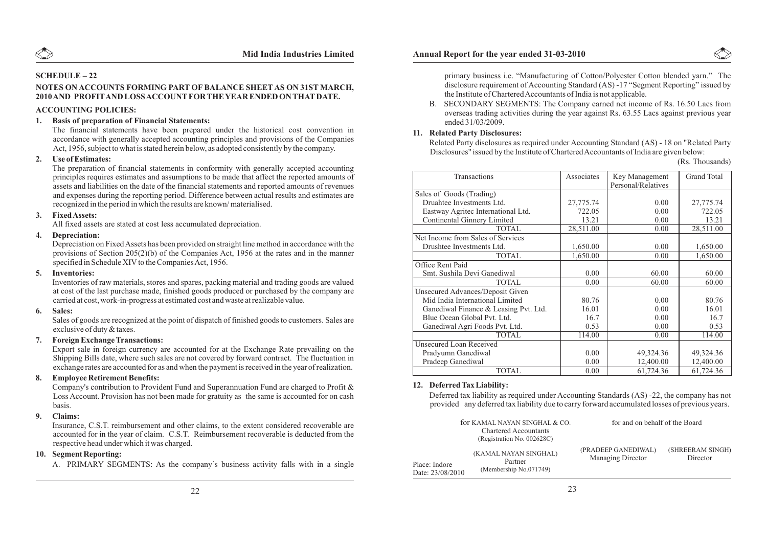

#### **SCHEDULE – 22**

#### **NOTES ON ACCOUNTS FORMING PART OF BALANCE SHEETAS ON 31ST MARCH, 2010 AND PROFITAND LOSS ACCOUNTFOR THE YEAR ENDED ON THATDATE.**

#### **ACCOUNTING POLICIES:**

#### **1. Basis of preparation of Financial Statements:**

The financial statements have been prepared under the historical cost convention in accordance with generally accepted accounting principles and provisions of the Companies Act, 1956, subject to what is stated herein below, as adopted consistently by the company.

#### **2. Use of Estimates:**

The preparation of financial statements in conformity with generally accepted accounting principles requires estimates and assumptions to be made that affect the reported amounts of assets and liabilities on the date of the financial statements and reported amounts of revenues and expenses during the reporting period. Difference between actual results and estimates are recognized in the period in which the results are known/ materialised.

#### **3. Fixed Assets:**

All fixed assets are stated at cost less accumulated depreciation.

#### **4. Depreciation:**

Depreciation on Fixed Assets has been provided on straight line method in accordance with the provisions of Section 205(2)(b) of the Companies Act, 1956 at the rates and in the manner specified in Schedule XIV to the Companies Act, 1956.

#### **5. Inventories:**

Inventories of raw materials, stores and spares, packing material and trading goods are valued at cost of the last purchase made, finished goods produced or purchased by the company are carried at cost, work-in-progress at estimated cost and waste at realizable value.

#### **6. Sales:**

Sales of goods are recognized at the point of dispatch of finished goods to customers. Sales are exclusive of duty & taxes.

#### **7. Foreign Exchange Transactions:**

Export sale in foreign currency are accounted for at the Exchange Rate prevailing on the Shipping Bills date, where such sales are not covered by forward contract. The fluctuation in exchange rates are accounted for as and when the payment is received in the year of realization.

#### **8. Employee Retirement Benefits:**

Company's contribution to Provident Fund and Superannuation Fund are charged to Profit & Loss Account. Provision has not been made for gratuity as the same is accounted for on cash basis.

#### **9. Claims:**

Insurance, C.S.T. reimbursement and other claims, to the extent considered recoverable are accounted for in the year of claim. C.S.T. Reimbursement recoverable is deducted from the respective head under which it was charged.

#### **10. Segment Reporting:**

A. PRIMARY SEGMENTS: As the company's business activity falls with in a single



B. SECONDARY SEGMENTS: The Company earned net income of Rs. 16.50 Lacs from overseas trading activities during the year against Rs. 63.55 Lacs against previous year ended 31/03/2009.

#### **11. Related Party Disclosures:**

Related Party disclosures as required under Accounting Standard (AS) - 18 on "Related Party Disclosures" issued by the Institute of Chartered Accountants of India are given below:

|  | (Rs. Thousands) |  |
|--|-----------------|--|
|--|-----------------|--|

| Transactions                          | Associates |                    | <b>Grand Total</b> |
|---------------------------------------|------------|--------------------|--------------------|
|                                       |            | Key Management     |                    |
|                                       |            | Personal/Relatives |                    |
| Sales of Goods (Trading)              |            |                    |                    |
| Druahtee Investments Ltd.             | 27,775.74  | 0.00               | 27,775.74          |
| Eastway Agritec International Ltd.    | 722.05     | 0.00               | 722.05             |
| Continental Ginnery Limited           | 13.21      | 0.00               | 13.21              |
| <b>TOTAL</b>                          | 28,511.00  | 0.00               | 28,511.00          |
| Net Income from Sales of Services     |            |                    |                    |
| Drushtee Investments Ltd.             | 1,650.00   | 0.00               | 1,650.00           |
| <b>TOTAL</b>                          | 1,650.00   | 0.00               | 1,650.00           |
| Office Rent Paid                      |            |                    |                    |
| Smt. Sushila Devi Ganediwal           | 0.00       | 60.00              | 60.00              |
| <b>TOTAL</b>                          | 0.00       | 60.00              | 60.00              |
| Unsecured Advances/Deposit Given      |            |                    |                    |
| Mid India International Limited       | 80.76      | 0.00               | 80.76              |
| Ganediwal Finance & Leasing Pvt. Ltd. | 16.01      | 0.00               | 16.01              |
| Blue Ocean Global Pvt. Ltd.           | 16.7       | 0.00               | 16.7               |
| Ganediwal Agri Foods Pvt. Ltd.        | 0.53       | 0.00               | 0.53               |
| <b>TOTAL</b>                          | 114.00     | 0.00               | 114.00             |
| <b>Unsecured Loan Received</b>        |            |                    |                    |
| Pradyumn Ganediwal                    | 0.00       | 49,324.36          | 49,324.36          |
| Pradeep Ganediwal                     | 0.00       | 12,400.00          | 12,400.00          |
| <b>TOTAL</b>                          | 0.00       | 61,724.36          | 61,724.36          |

#### **12. Deferred Tax Liability:**

Deferred tax liability as required under Accounting Standards (AS) -22, the company has not provided any deferred tax liability due to carry forward accumulated losses of previous years.

|                                   | for KAMAL NAYAN SINGHAL & CO.<br><b>Chartered Accountants</b><br>(Registration No. 002628C) | for and on behalf of the Board           |                              |
|-----------------------------------|---------------------------------------------------------------------------------------------|------------------------------------------|------------------------------|
| Place: Indore<br>Date: 23/08/2010 | (KAMAL NAYAN SINGHAL)<br>Partner<br>(Membership No.071749)                                  | (PRADEEP GANEDIWAL)<br>Managing Director | (SHREERAM SINGH)<br>Director |

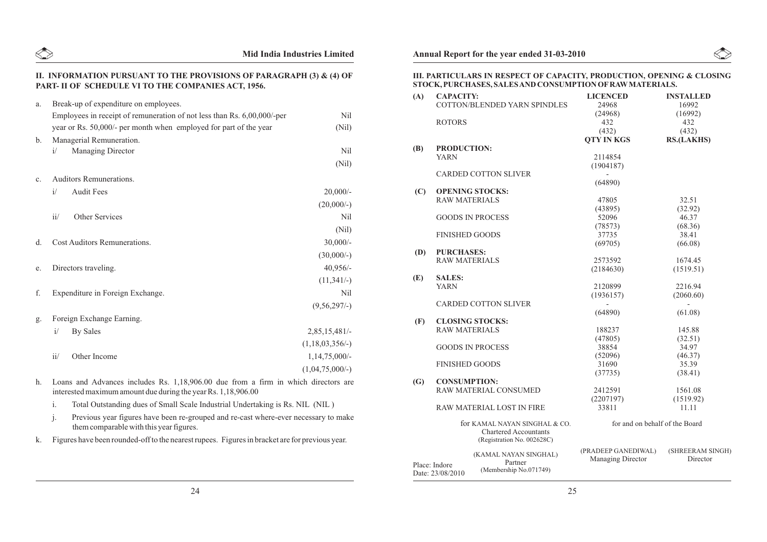

# **Mid India Industries Limited Annual Report for the year ended 31-03-2010**

#### **II. INFORMATION PURSUANT TO THE PROVISIONS OF PARAGRAPH (3) & (4) OF PART- II OF SCHEDULE VI TO THE COMPANIES ACT, 1956.**

| a.             | Break-up of expenditure on employees.                                   |                          |
|----------------|-------------------------------------------------------------------------|--------------------------|
|                | Employees in receipt of remuneration of not less than Rs. 6,00,000/-per | N <sub>il</sub>          |
|                | year or Rs. 50,000/- per month when employed for part of the year       | (Nil)                    |
| $\mathbf{b}$ . | Managerial Remuneration.                                                |                          |
|                | Managing Director<br>i/                                                 | N <sub>il</sub>          |
|                |                                                                         | (Nil)                    |
| $\mathbf{c}$ . | Auditors Remunerations.                                                 |                          |
|                | <b>Audit Fees</b><br>i/                                                 | $20,000/$ -              |
|                |                                                                         | $(20,000/-)$             |
|                | ii/<br>Other Services                                                   | <b>Nil</b>               |
|                |                                                                         | (Nil)                    |
| d.             | Cost Auditors Remunerations.                                            | $30,000/-$               |
|                |                                                                         | $(30,000/-)$             |
| e.             | Directors traveling.                                                    | $40,956/-$               |
|                |                                                                         | $(11,341/-)$             |
| f.             | Expenditure in Foreign Exchange.                                        | Nil                      |
|                |                                                                         | $(9,56,297/-)$           |
| g.             | Foreign Exchange Earning.                                               |                          |
|                | i/<br>By Sales                                                          | 2,85,15,481/             |
|                |                                                                         | $(1, 18, 03, 356/$ - $)$ |
|                | ii/<br>Other Income                                                     | $1,14,75,000/-$          |
|                |                                                                         | $(1,04,75,000/-)$        |
|                |                                                                         |                          |

- h. Loans and Advances includes Rs. 1,18,906.00 due from a firm in which directors are interested maximum amount due during the year Rs. 1,18,906.00
	- i. Total Outstanding dues of Small Scale Industrial Undertaking is Rs. NIL (NIL )
	- j. Previous year figures have been re-grouped and re-cast where-ever necessary to make them comparable with this year figures.
- k. Figures have been rounded-off to the nearest rupees. Figures in bracket are for previous year.

#### **III. PARTICULARS IN RESPECT OF CAPACITY, PRODUCTION, OPENING & CLOSING STOCK, PURCHASES, SALES AND CONSUMPTION OFRAWMATERIALS.**

| (A) | <b>CAPACITY:</b>                                                                            | <b>COTTON/BLENDED YARN SPINDLES</b>                        | <b>LICENCED</b><br>24968                 | <b>INSTALLED</b><br>16992    |
|-----|---------------------------------------------------------------------------------------------|------------------------------------------------------------|------------------------------------------|------------------------------|
|     | <b>ROTORS</b>                                                                               |                                                            | (24968)<br>432<br>(432)                  | (16992)<br>432<br>(432)      |
|     |                                                                                             |                                                            | <b>QTY IN KGS</b>                        | <b>RS.(LAKHS)</b>            |
| (B) | <b>PRODUCTION:</b>                                                                          |                                                            |                                          |                              |
|     | <b>YARN</b>                                                                                 |                                                            | 2114854                                  |                              |
|     |                                                                                             | <b>CARDED COTTON SLIVER</b>                                | (1904187)                                |                              |
|     |                                                                                             |                                                            | (64890)                                  |                              |
| (C) |                                                                                             | <b>OPENING STOCKS:</b>                                     |                                          |                              |
|     | <b>RAW MATERIALS</b>                                                                        |                                                            | 47805                                    | 32.51                        |
|     |                                                                                             |                                                            | (43895)                                  | (32.92)                      |
|     |                                                                                             | <b>GOODS IN PROCESS</b>                                    | 52096                                    | 46.37                        |
|     |                                                                                             |                                                            | (78573)                                  | (68.36)                      |
|     | <b>FINISHED GOODS</b>                                                                       |                                                            | 37735                                    | 38.41                        |
|     |                                                                                             |                                                            | (69705)                                  | (66.08)                      |
|     | <b>PURCHASES:</b>                                                                           |                                                            |                                          |                              |
| (D) | <b>RAW MATERIALS</b>                                                                        |                                                            | 2573592                                  | 1674.45                      |
|     |                                                                                             |                                                            |                                          | (1519.51)                    |
|     |                                                                                             |                                                            | (2184630)                                |                              |
| (E) | <b>SALES:</b>                                                                               |                                                            |                                          |                              |
|     | <b>YARN</b>                                                                                 |                                                            | 2120899                                  | 2216.94                      |
|     |                                                                                             |                                                            | (1936157)                                | (2060.60)                    |
|     |                                                                                             | <b>CARDED COTTON SLIVER</b>                                |                                          |                              |
|     |                                                                                             |                                                            | (64890)                                  | (61.08)                      |
| (F) |                                                                                             | <b>CLOSING STOCKS:</b>                                     |                                          |                              |
|     | <b>RAW MATERIALS</b>                                                                        |                                                            | 188237                                   | 145.88                       |
|     |                                                                                             |                                                            | (47805)                                  | (32.51)                      |
|     |                                                                                             | <b>GOODS IN PROCESS</b>                                    | 38854                                    | 34.97                        |
|     |                                                                                             |                                                            | (52096)                                  | (46.37)                      |
|     | <b>FINISHED GOODS</b>                                                                       |                                                            | 31690                                    | 35.39                        |
|     |                                                                                             |                                                            | (37735)                                  | (38.41)                      |
| (G) | <b>CONSUMPTION:</b>                                                                         |                                                            |                                          |                              |
|     |                                                                                             | RAW MATERIAL CONSUMED                                      | 2412591                                  | 1561.08                      |
|     |                                                                                             |                                                            | (2207197)                                | (1519.92)                    |
|     |                                                                                             | RAW MATERIAL LOST IN FIRE                                  | 33811                                    | 11.11                        |
|     | for KAMAL NAYAN SINGHAL & CO.<br><b>Chartered Accountants</b><br>(Registration No. 002628C) |                                                            | for and on behalf of the Board           |                              |
|     | Place: Indore<br>Date: 23/08/2010                                                           | (KAMAL NAYAN SINGHAL)<br>Partner<br>(Membership No.071749) | (PRADEEP GANEDIWAL)<br>Managing Director | (SHREERAM SINGH)<br>Director |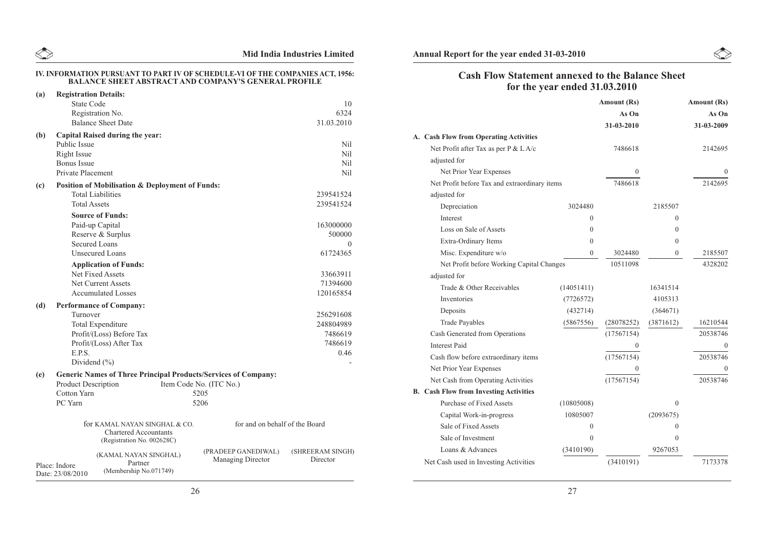|     | <b>BALANCE SHEET ABSTRACT AND COMPANY'S GENERAL PROFILE</b>                                     | IV. INFORMATION PURSUANT TO PART IV OF SCHEDULE-VI OF THE COMPANIES ACT, 1956:  |
|-----|-------------------------------------------------------------------------------------------------|---------------------------------------------------------------------------------|
| (a) | <b>Registration Details:</b>                                                                    |                                                                                 |
|     | <b>State Code</b>                                                                               | 10                                                                              |
|     | Registration No.                                                                                | 6324                                                                            |
|     | <b>Balance Sheet Date</b>                                                                       | 31.03.2010                                                                      |
| (b) | <b>Capital Raised during the year:</b>                                                          |                                                                                 |
|     | Public Issue                                                                                    | Nil                                                                             |
|     | Right Issue                                                                                     | Nil                                                                             |
|     | <b>Bonus</b> Issue                                                                              | Nil                                                                             |
|     | Private Placement                                                                               | Nil                                                                             |
| (c) | Position of Mobilisation & Deployment of Funds:                                                 |                                                                                 |
|     | <b>Total Liabilities</b>                                                                        | 239541524                                                                       |
|     | <b>Total Assets</b>                                                                             | 239541524                                                                       |
|     | <b>Source of Funds:</b>                                                                         |                                                                                 |
|     | Paid-up Capital                                                                                 | 163000000                                                                       |
|     | Reserve & Surplus                                                                               | 500000                                                                          |
|     | <b>Secured Loans</b>                                                                            | $\Omega$                                                                        |
|     | <b>Unsecured Loans</b>                                                                          | 61724365                                                                        |
|     | <b>Application of Funds:</b>                                                                    |                                                                                 |
|     | Net Fixed Assets                                                                                | 33663911                                                                        |
|     | Net Current Assets                                                                              | 71394600                                                                        |
|     | <b>Accumulated Losses</b>                                                                       | 120165854                                                                       |
| (d) | <b>Performance of Company:</b>                                                                  |                                                                                 |
|     | Turnover                                                                                        | 256291608                                                                       |
|     | <b>Total Expenditure</b>                                                                        | 248804989                                                                       |
|     | Profit/(Loss) Before Tax                                                                        | 7486619                                                                         |
|     | Profit/(Loss) After Tax                                                                         | 7486619                                                                         |
|     | E.P.S.                                                                                          | 0.46                                                                            |
|     | Dividend $(\% )$                                                                                |                                                                                 |
| (e) | <b>Generic Names of Three Principal Products/Services of Company:</b>                           |                                                                                 |
|     | <b>Product Description</b>                                                                      | Item Code No. (ITC No.)                                                         |
|     | <b>Cotton Yarn</b>                                                                              | 5205                                                                            |
|     | PC Yarn                                                                                         | 5206                                                                            |
|     | for KAMAL NAYAN SINGHAL & CO.<br><b>Chartered Accountants</b><br>(Registration No. 002628C)     | for and on behalf of the Board                                                  |
|     | (KAMAL NAYAN SINGHAL)<br>Partner<br>Place: Indore<br>(Membership No.071749)<br>Date: 23/08/2010 | (PRADEEP GANEDIWAL)<br>(SHREERAM SINGH)<br><b>Managing Director</b><br>Director |

## **Mid India Industries Limited Annual Report for the year ended 31-03-2010**

 $\begin{picture}(220,20) \put(0,0){\line(1,0){10}} \put(15,0){\line(1,0){10}} \put(15,0){\line(1,0){10}} \put(15,0){\line(1,0){10}} \put(15,0){\line(1,0){10}} \put(15,0){\line(1,0){10}} \put(15,0){\line(1,0){10}} \put(15,0){\line(1,0){10}} \put(15,0){\line(1,0){10}} \put(15,0){\line(1,0){10}} \put(15,0){\line(1,0){10}} \put(15,0){\line($ 

## **Cash Flow Statement annexed to the Balance Sheet for the year ended 31.03.2010**

|                                               |              | <b>Amount (Rs)</b> |           | <b>Amount (Rs)</b> |
|-----------------------------------------------|--------------|--------------------|-----------|--------------------|
|                                               |              | As On              |           | As On              |
|                                               |              | 31-03-2010         |           | 31-03-2009         |
| A. Cash Flow from Operating Activities        |              |                    |           |                    |
| Net Profit after Tax as per P & L A/c         |              | 7486618            |           | 2142695            |
| adjusted for                                  |              |                    |           |                    |
| Net Prior Year Expenses                       |              | $\theta$           |           | $\Omega$           |
| Net Profit before Tax and extraordinary items |              | 7486618            |           | 2142695            |
| adjusted for                                  |              |                    |           |                    |
| Depreciation                                  | 3024480      |                    | 2185507   |                    |
| Interest                                      | $\Omega$     |                    | $\theta$  |                    |
| Loss on Sale of Assets                        | $\Omega$     |                    | $\Omega$  |                    |
| Extra-Ordinary Items                          | $\theta$     |                    | $\Omega$  |                    |
| Misc. Expenditure w/o                         | $\mathbf{0}$ | 3024480            | $\theta$  | 2185507            |
| Net Profit before Working Capital Changes     |              | 10511098           |           | 4328202            |
| adjusted for                                  |              |                    |           |                    |
| Trade & Other Receivables                     | (14051411)   |                    | 16341514  |                    |
| Inventories                                   | (7726572)    |                    | 4105313   |                    |
| Deposits                                      | (432714)     |                    | (364671)  |                    |
| <b>Trade Payables</b>                         | (5867556)    | (28078252)         | (3871612) | 16210544           |
| Cash Generated from Operations                |              | (17567154)         |           | 20538746           |
| <b>Interest Paid</b>                          |              | $\theta$           |           | 0                  |
| Cash flow before extraordinary items          |              | (17567154)         |           | 20538746           |
| Net Prior Year Expenses                       |              | $\Omega$           |           | $\Omega$           |
| Net Cash from Operating Activities            |              | (17567154)         |           | 20538746           |
| <b>B.</b> Cash Flow from Investing Activities |              |                    |           |                    |
| Purchase of Fixed Assets                      | (10805008)   |                    | $\Omega$  |                    |
| Capital Work-in-progress                      | 10805007     |                    | (2093675) |                    |
| Sale of Fixed Assets                          | $\theta$     |                    | $\Omega$  |                    |
| Sale of Investment                            | $\theta$     |                    | $\Omega$  |                    |
| Loans & Advances                              | (3410190)    |                    | 9267053   |                    |
| Net Cash used in Investing Activities         |              | (3410191)          |           | 7173378            |